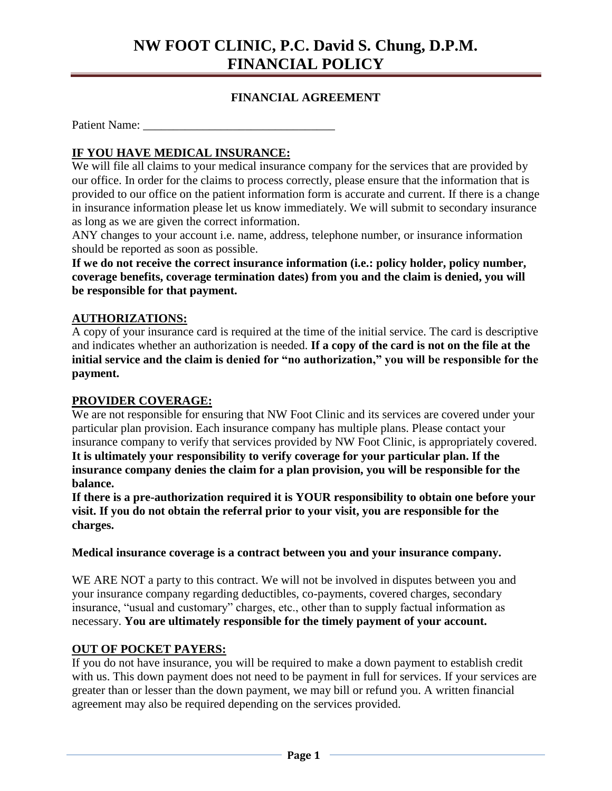## **NW FOOT CLINIC, P.C. David S. Chung, D.P.M. FINANCIAL POLICY**

## **FINANCIAL AGREEMENT**

Patient Name:

## **IF YOU HAVE MEDICAL INSURANCE:**

We will file all claims to your medical insurance company for the services that are provided by our office. In order for the claims to process correctly, please ensure that the information that is provided to our office on the patient information form is accurate and current. If there is a change in insurance information please let us know immediately. We will submit to secondary insurance as long as we are given the correct information.

ANY changes to your account i.e. name, address, telephone number, or insurance information should be reported as soon as possible.

**If we do not receive the correct insurance information (i.e.: policy holder, policy number, coverage benefits, coverage termination dates) from you and the claim is denied, you will be responsible for that payment.**

### **AUTHORIZATIONS:**

A copy of your insurance card is required at the time of the initial service. The card is descriptive and indicates whether an authorization is needed. **If a copy of the card is not on the file at the initial service and the claim is denied for "no authorization," you will be responsible for the payment.** 

#### **PROVIDER COVERAGE:**

We are not responsible for ensuring that NW Foot Clinic and its services are covered under your particular plan provision. Each insurance company has multiple plans. Please contact your insurance company to verify that services provided by NW Foot Clinic, is appropriately covered. **It is ultimately your responsibility to verify coverage for your particular plan. If the insurance company denies the claim for a plan provision, you will be responsible for the balance.** 

**If there is a pre-authorization required it is YOUR responsibility to obtain one before your visit. If you do not obtain the referral prior to your visit, you are responsible for the charges.**

**Medical insurance coverage is a contract between you and your insurance company.** 

WE ARE NOT a party to this contract. We will not be involved in disputes between you and your insurance company regarding deductibles, co-payments, covered charges, secondary insurance, "usual and customary" charges, etc., other than to supply factual information as necessary. **You are ultimately responsible for the timely payment of your account.** 

#### **OUT OF POCKET PAYERS:**

If you do not have insurance, you will be required to make a down payment to establish credit with us. This down payment does not need to be payment in full for services. If your services are greater than or lesser than the down payment, we may bill or refund you. A written financial agreement may also be required depending on the services provided.